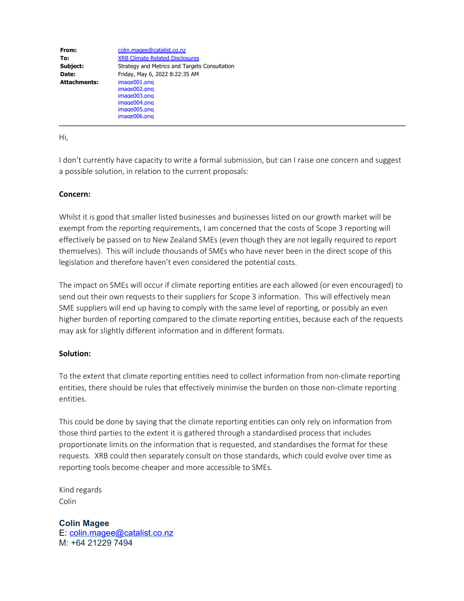**From:** [colin.magee@catalist.co.nz](mailto:colin.magee@catalist.co.nz) **To:** [XRB Climate Related Disclosures](mailto:climate@xrb.govt.nz) **Subject:** Strategy and Metrics and Targets Consultation **Date:** Friday, May 6, 2022 8:22:35 AM **Attachments:** image001.png image002.png image003.png image004.png image005.png image006.png

## Hi,

I don't currently have capacity to write a formal submission, but can I raise one concern and suggest a possible solution, in relation to the current proposals:

## **Concern:**

Whilst it is good that smaller listed businesses and businesses listed on our growth market will be exempt from the reporting requirements, I am concerned that the costs of Scope 3 reporting will effectively be passed on to New Zealand SMEs (even though they are not legally required to report themselves). This will include thousands of SMEs who have never been in the direct scope of this legislation and therefore haven't even considered the potential costs.

The impact on SMEs will occur if climate reporting entities are each allowed (or even encouraged) to send out their own requests to their suppliers for Scope 3 information. This will effectively mean SME suppliers will end up having to comply with the same level of reporting, or possibly an even higher burden of reporting compared to the climate reporting entities, because each of the requests may ask for slightly different information and in different formats.

## **Solution:**

To the extent that climate reporting entities need to collect information from non-climate reporting entities, there should be rules that effectively minimise the burden on those non-climate reporting entities.

This could be done by saying that the climate reporting entities can only rely on information from those third parties to the extent it is gathered through a standardised process that includes proportionate limits on the information that is requested, and standardises the format for these requests. XRB could then separately consult on those standards, which could evolve over time as reporting tools become cheaper and more accessible to SMEs.

Kind regards Colin

**Colin Magee** E: [colin.magee@catalist.co.nz](mailto:colin.magee@catalist.co.nz) M: +64 21229 7494